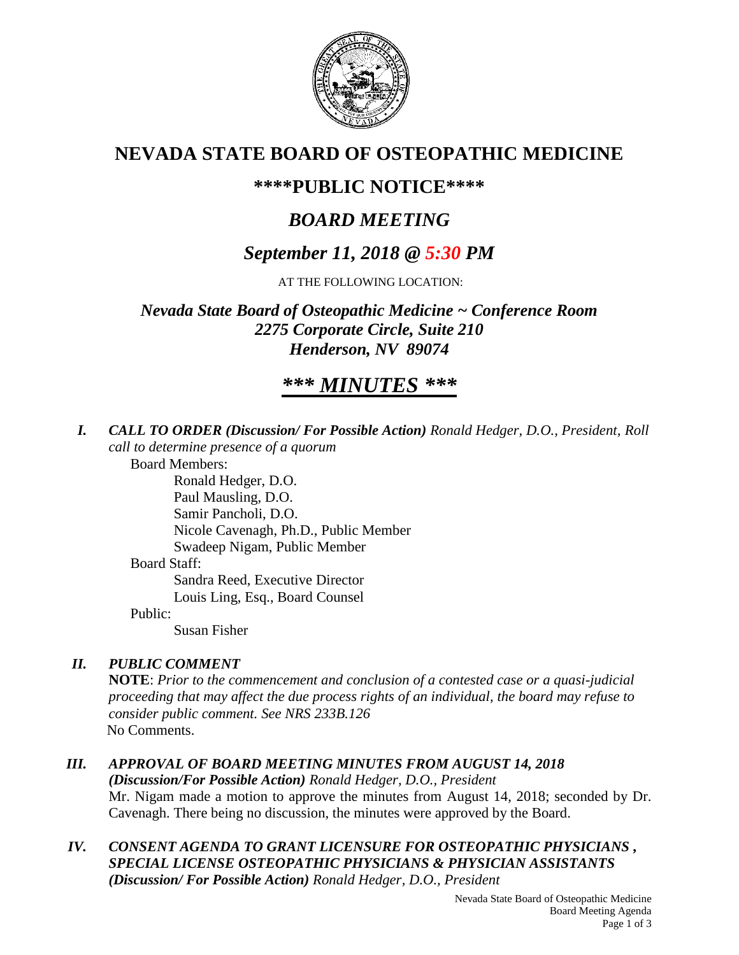

## **NEVADA STATE BOARD OF OSTEOPATHIC MEDICINE**

## **\*\*\*\*PUBLIC NOTICE\*\*\*\***

# *BOARD MEETING*

## *September 11, 2018 @ 5:30 PM*

AT THE FOLLOWING LOCATION:

*Nevada State Board of Osteopathic Medicine ~ Conference Room 2275 Corporate Circle, Suite 210 Henderson, NV 89074*

# *\*\*\* MINUTES \*\*\**

*I. CALL TO ORDER (Discussion/ For Possible Action) Ronald Hedger, D.O., President, Roll call to determine presence of a quorum*

Board Members:

Ronald Hedger, D.O. Paul Mausling, D.O. Samir Pancholi, D.O. Nicole Cavenagh, Ph.D., Public Member Swadeep Nigam, Public Member Board Staff: Sandra Reed, Executive Director Louis Ling, Esq., Board Counsel Public:

Susan Fisher

## *II. PUBLIC COMMENT*

**NOTE**: *Prior to the commencement and conclusion of a contested case or a quasi-judicial proceeding that may affect the due process rights of an individual, the board may refuse to consider public comment. See NRS 233B.126* No Comments.

## *III. APPROVAL OF BOARD MEETING MINUTES FROM AUGUST 14, 2018*

*(Discussion/For Possible Action) Ronald Hedger, D.O., President* Mr. Nigam made a motion to approve the minutes from August 14, 2018; seconded by Dr. Cavenagh. There being no discussion, the minutes were approved by the Board.

#### *IV. CONSENT AGENDA TO GRANT LICENSURE FOR OSTEOPATHIC PHYSICIANS , SPECIAL LICENSE OSTEOPATHIC PHYSICIANS & PHYSICIAN ASSISTANTS (Discussion/ For Possible Action) Ronald Hedger, D.O., President*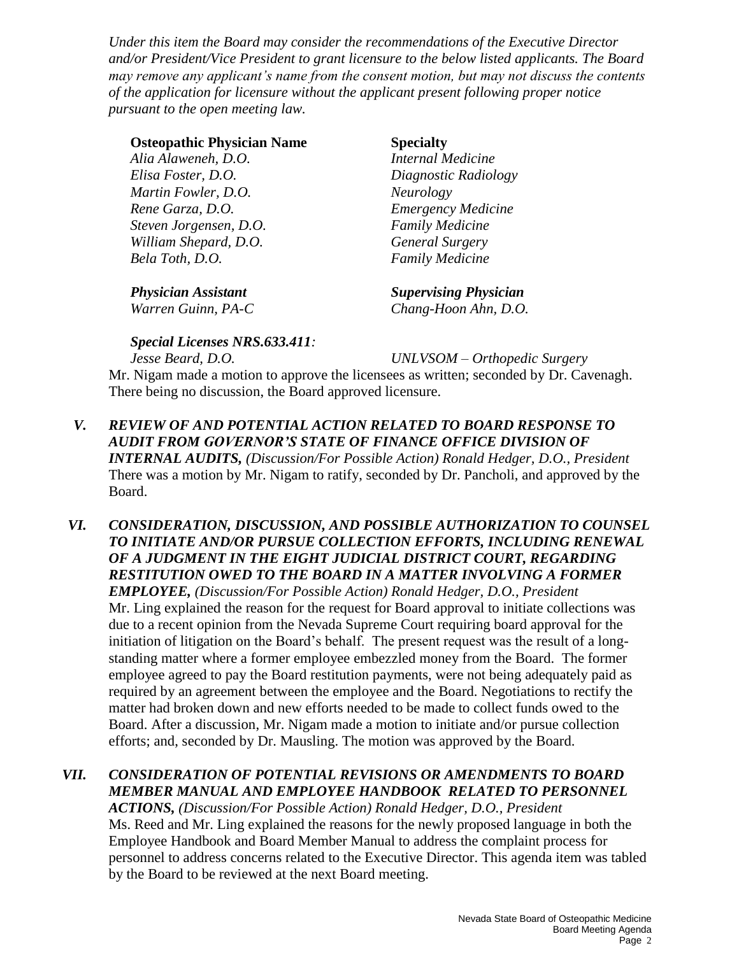*Under this item the Board may consider the recommendations of the Executive Director and/or President/Vice President to grant licensure to the below listed applicants. The Board may remove any applicant's name from the consent motion, but may not discuss the contents of the application for licensure without the applicant present following proper notice pursuant to the open meeting law.* 

#### **Osteopathic Physician Name Specialty**

*Alia Alaweneh, D.O. Internal Medicine Elisa Foster, D.O. Diagnostic Radiology Martin Fowler, D.O. Neurology Rene Garza, D.O. Emergency Medicine Steven Jorgensen, D.O. Family Medicine William Shepard, D.O. General Surgery Bela Toth, D.O. Family Medicine*

*Physician Assistant Supervising Physician*

*Warren Guinn, PA-C Chang-Hoon Ahn, D.O.*

#### *Special Licenses NRS.633.411:*

*Jesse Beard, D.O. UNLVSOM – Orthopedic Surgery* Mr. Nigam made a motion to approve the licensees as written; seconded by Dr. Cavenagh. There being no discussion, the Board approved licensure.

- *V. REVIEW OF AND POTENTIAL ACTION RELATED TO BOARD RESPONSE TO AUDIT FROM GOVERNOR'S STATE OF FINANCE OFFICE DIVISION OF INTERNAL AUDITS, (Discussion/For Possible Action) Ronald Hedger, D.O., President* There was a motion by Mr. Nigam to ratify, seconded by Dr. Pancholi, and approved by the Board.
- *VI. CONSIDERATION, DISCUSSION, AND POSSIBLE AUTHORIZATION TO COUNSEL TO INITIATE AND/OR PURSUE COLLECTION EFFORTS, INCLUDING RENEWAL OF A JUDGMENT IN THE EIGHT JUDICIAL DISTRICT COURT, REGARDING RESTITUTION OWED TO THE BOARD IN A MATTER INVOLVING A FORMER EMPLOYEE, (Discussion/For Possible Action) Ronald Hedger, D.O., President* Mr. Ling explained the reason for the request for Board approval to initiate collections was due to a recent opinion from the Nevada Supreme Court requiring board approval for the initiation of litigation on the Board's behalf. The present request was the result of a longstanding matter where a former employee embezzled money from the Board. The former employee agreed to pay the Board restitution payments, were not being adequately paid as required by an agreement between the employee and the Board. Negotiations to rectify the matter had broken down and new efforts needed to be made to collect funds owed to the Board. After a discussion, Mr. Nigam made a motion to initiate and/or pursue collection efforts; and, seconded by Dr. Mausling. The motion was approved by the Board.

#### *VII. CONSIDERATION OF POTENTIAL REVISIONS OR AMENDMENTS TO BOARD MEMBER MANUAL AND EMPLOYEE HANDBOOK RELATED TO PERSONNEL ACTIONS, (Discussion/For Possible Action) Ronald Hedger, D.O., President* Ms. Reed and Mr. Ling explained the reasons for the newly proposed language in both the Employee Handbook and Board Member Manual to address the complaint process for personnel to address concerns related to the Executive Director. This agenda item was tabled by the Board to be reviewed at the next Board meeting.